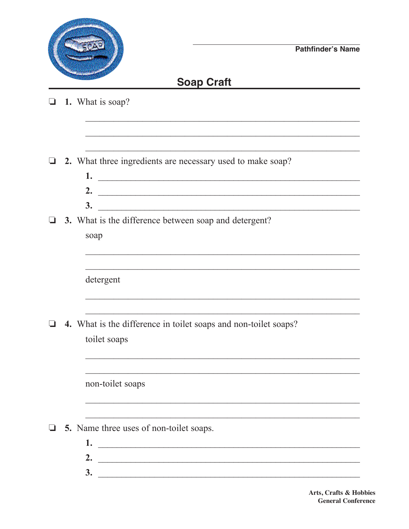

## **Soap Craft**

| $\Box$ |  | 1. What is soap? |  |  |
|--------|--|------------------|--|--|
|--------|--|------------------|--|--|

 $\Box$  2. What three ingredients are necessary used to make soap?

2.  $\overline{\phantom{a}}$  $3.$ 

<u> 1990 - Johann Stoff, amerikansk politiker (d. 1980)</u>

 $\Box$  3. What is the difference between soap and detergent?

| soap |  |
|------|--|
|      |  |

detergent

 $\Box$  4. What is the difference in toilet soaps and non-toilet soaps? toilet soaps

non-toilet soaps

- $\Box$  5. Name three uses of non-toilet soaps.
	- 1.  $\overline{\phantom{a}}$  . The contract of the contract of the contract of the contract of the contract of the contract of the contract of the contract of the contract of the contract of the contract of the contract of the contract 2.  $\overline{\phantom{a}}$  $\overline{\mathbf{3}}$ .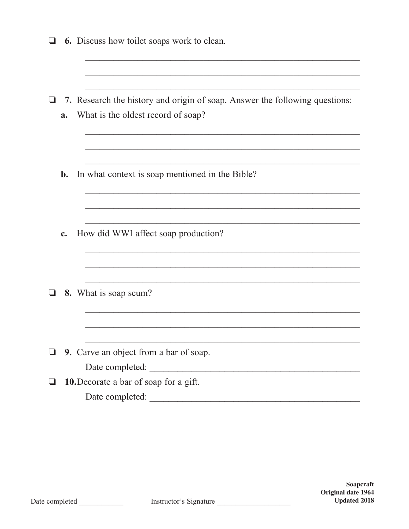|                                        | <b>6.</b> Discuss how toilet soaps work to clean.                                                                 |  |  |  |  |  |
|----------------------------------------|-------------------------------------------------------------------------------------------------------------------|--|--|--|--|--|
|                                        |                                                                                                                   |  |  |  |  |  |
| a.                                     | 7. Research the history and origin of soap. Answer the following questions:<br>What is the oldest record of soap? |  |  |  |  |  |
|                                        |                                                                                                                   |  |  |  |  |  |
| $b$ .                                  | In what context is soap mentioned in the Bible?                                                                   |  |  |  |  |  |
|                                        |                                                                                                                   |  |  |  |  |  |
| c.                                     | How did WWI affect soap production?                                                                               |  |  |  |  |  |
|                                        |                                                                                                                   |  |  |  |  |  |
|                                        | 8. What is soap scum?                                                                                             |  |  |  |  |  |
|                                        |                                                                                                                   |  |  |  |  |  |
|                                        | 9. Carve an object from a bar of soap.                                                                            |  |  |  |  |  |
|                                        | Date completed:                                                                                                   |  |  |  |  |  |
| 10. Decorate a bar of soap for a gift. |                                                                                                                   |  |  |  |  |  |
|                                        | Date completed:                                                                                                   |  |  |  |  |  |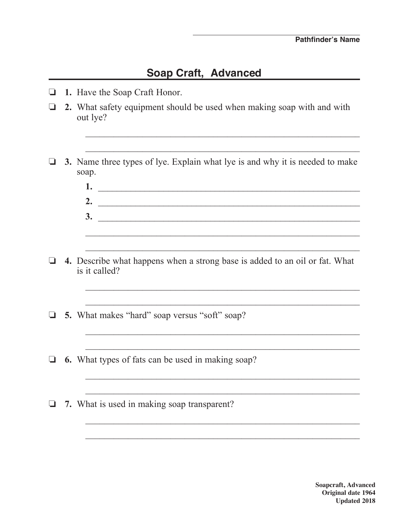## **Soap Craft, Advanced**

- o **1.** Have the Soap Craft Honor.
- o **2.** What safety equipment should be used when making soap with and with out lye?
- **3.** Name three types of lye. Explain what lye is and why it is needed to make soap.

 $\mathcal{L}_\text{max} = \frac{1}{2} \sum_{i=1}^{n} \frac{1}{2} \sum_{i=1}^{n} \frac{1}{2} \sum_{i=1}^{n} \frac{1}{2} \sum_{i=1}^{n} \frac{1}{2} \sum_{i=1}^{n} \frac{1}{2} \sum_{i=1}^{n} \frac{1}{2} \sum_{i=1}^{n} \frac{1}{2} \sum_{i=1}^{n} \frac{1}{2} \sum_{i=1}^{n} \frac{1}{2} \sum_{i=1}^{n} \frac{1}{2} \sum_{i=1}^{n} \frac{1}{2} \sum_{i=1}^{n} \frac{1$ 

 $\mathcal{L}_\text{max} = \frac{1}{2} \sum_{i=1}^{n} \frac{1}{2} \sum_{i=1}^{n} \frac{1}{2} \sum_{i=1}^{n} \frac{1}{2} \sum_{i=1}^{n} \frac{1}{2} \sum_{i=1}^{n} \frac{1}{2} \sum_{i=1}^{n} \frac{1}{2} \sum_{i=1}^{n} \frac{1}{2} \sum_{i=1}^{n} \frac{1}{2} \sum_{i=1}^{n} \frac{1}{2} \sum_{i=1}^{n} \frac{1}{2} \sum_{i=1}^{n} \frac{1}{2} \sum_{i=1}^{n} \frac{1$ 

- **1.** \_\_\_\_\_\_\_\_\_\_\_\_\_\_\_\_\_\_\_\_\_\_\_\_\_\_\_\_\_\_\_\_\_\_\_\_\_\_\_\_\_\_\_\_\_\_\_\_\_\_\_\_\_\_\_\_ **2.** \_\_\_\_\_\_\_\_\_\_\_\_\_\_\_\_\_\_\_\_\_\_\_\_\_\_\_\_\_\_\_\_\_\_\_\_\_\_\_\_\_\_\_\_\_\_\_\_\_\_\_\_\_\_\_\_ **3.** \_\_\_\_\_\_\_\_\_\_\_\_\_\_\_\_\_\_\_\_\_\_\_\_\_\_\_\_\_\_\_\_\_\_\_\_\_\_\_\_\_\_\_\_\_\_\_\_\_\_\_\_\_\_\_\_  $\mathcal{L}_\text{max} = \frac{1}{2} \sum_{i=1}^{n} \frac{1}{2} \sum_{i=1}^{n} \frac{1}{2} \sum_{i=1}^{n} \frac{1}{2} \sum_{i=1}^{n} \frac{1}{2} \sum_{i=1}^{n} \frac{1}{2} \sum_{i=1}^{n} \frac{1}{2} \sum_{i=1}^{n} \frac{1}{2} \sum_{i=1}^{n} \frac{1}{2} \sum_{i=1}^{n} \frac{1}{2} \sum_{i=1}^{n} \frac{1}{2} \sum_{i=1}^{n} \frac{1}{2} \sum_{i=1}^{n} \frac{1$
- o **4.** Describe what happens when a strong base is added to an oil or fat. What is it called?

 $\mathcal{L}_\text{max} = \frac{1}{2} \sum_{i=1}^n \frac{1}{2} \sum_{i=1}^n \frac{1}{2} \sum_{i=1}^n \frac{1}{2} \sum_{i=1}^n \frac{1}{2} \sum_{i=1}^n \frac{1}{2} \sum_{i=1}^n \frac{1}{2} \sum_{i=1}^n \frac{1}{2} \sum_{i=1}^n \frac{1}{2} \sum_{i=1}^n \frac{1}{2} \sum_{i=1}^n \frac{1}{2} \sum_{i=1}^n \frac{1}{2} \sum_{i=1}^n \frac{1}{2} \sum_{i=1}^n$ 

 $\mathcal{L}_\text{max} = \frac{1}{2} \sum_{i=1}^{n} \frac{1}{2} \sum_{i=1}^{n} \frac{1}{2} \sum_{i=1}^{n} \frac{1}{2} \sum_{i=1}^{n} \frac{1}{2} \sum_{i=1}^{n} \frac{1}{2} \sum_{i=1}^{n} \frac{1}{2} \sum_{i=1}^{n} \frac{1}{2} \sum_{i=1}^{n} \frac{1}{2} \sum_{i=1}^{n} \frac{1}{2} \sum_{i=1}^{n} \frac{1}{2} \sum_{i=1}^{n} \frac{1}{2} \sum_{i=1}^{n} \frac{1$ 

 $\frac{1}{2}$  ,  $\frac{1}{2}$  ,  $\frac{1}{2}$  ,  $\frac{1}{2}$  ,  $\frac{1}{2}$  ,  $\frac{1}{2}$  ,  $\frac{1}{2}$  ,  $\frac{1}{2}$  ,  $\frac{1}{2}$  ,  $\frac{1}{2}$  ,  $\frac{1}{2}$  ,  $\frac{1}{2}$  ,  $\frac{1}{2}$  ,  $\frac{1}{2}$  ,  $\frac{1}{2}$  ,  $\frac{1}{2}$  ,  $\frac{1}{2}$  ,  $\frac{1}{2}$  ,  $\frac{1$ 

 $\mathcal{L}_\text{max} = \frac{1}{2} \sum_{i=1}^{n} \frac{1}{2} \sum_{i=1}^{n} \frac{1}{2} \sum_{i=1}^{n} \frac{1}{2} \sum_{i=1}^{n} \frac{1}{2} \sum_{i=1}^{n} \frac{1}{2} \sum_{i=1}^{n} \frac{1}{2} \sum_{i=1}^{n} \frac{1}{2} \sum_{i=1}^{n} \frac{1}{2} \sum_{i=1}^{n} \frac{1}{2} \sum_{i=1}^{n} \frac{1}{2} \sum_{i=1}^{n} \frac{1}{2} \sum_{i=1}^{n} \frac{1$ 

 $\frac{1}{2}$  ,  $\frac{1}{2}$  ,  $\frac{1}{2}$  ,  $\frac{1}{2}$  ,  $\frac{1}{2}$  ,  $\frac{1}{2}$  ,  $\frac{1}{2}$  ,  $\frac{1}{2}$  ,  $\frac{1}{2}$  ,  $\frac{1}{2}$  ,  $\frac{1}{2}$  ,  $\frac{1}{2}$  ,  $\frac{1}{2}$  ,  $\frac{1}{2}$  ,  $\frac{1}{2}$  ,  $\frac{1}{2}$  ,  $\frac{1}{2}$  ,  $\frac{1}{2}$  ,  $\frac{1$ 

 $\mathcal{L}_\text{max} = \frac{1}{2} \sum_{i=1}^n \frac{1}{2} \sum_{i=1}^n \frac{1}{2} \sum_{i=1}^n \frac{1}{2} \sum_{i=1}^n \frac{1}{2} \sum_{i=1}^n \frac{1}{2} \sum_{i=1}^n \frac{1}{2} \sum_{i=1}^n \frac{1}{2} \sum_{i=1}^n \frac{1}{2} \sum_{i=1}^n \frac{1}{2} \sum_{i=1}^n \frac{1}{2} \sum_{i=1}^n \frac{1}{2} \sum_{i=1}^n \frac{1}{2} \sum_{i=1}^n$ 

 $\frac{1}{2}$  ,  $\frac{1}{2}$  ,  $\frac{1}{2}$  ,  $\frac{1}{2}$  ,  $\frac{1}{2}$  ,  $\frac{1}{2}$  ,  $\frac{1}{2}$  ,  $\frac{1}{2}$  ,  $\frac{1}{2}$  ,  $\frac{1}{2}$  ,  $\frac{1}{2}$  ,  $\frac{1}{2}$  ,  $\frac{1}{2}$  ,  $\frac{1}{2}$  ,  $\frac{1}{2}$  ,  $\frac{1}{2}$  ,  $\frac{1}{2}$  ,  $\frac{1}{2}$  ,  $\frac{1$ 

 $\overline{\phantom{a}}$  , and the contract of the contract of the contract of the contract of the contract of the contract of the contract of the contract of the contract of the contract of the contract of the contract of the contrac

 $\mathcal{L}_\text{max} = \frac{1}{2} \sum_{i=1}^{n} \frac{1}{2} \sum_{i=1}^{n} \frac{1}{2} \sum_{i=1}^{n} \frac{1}{2} \sum_{i=1}^{n} \frac{1}{2} \sum_{i=1}^{n} \frac{1}{2} \sum_{i=1}^{n} \frac{1}{2} \sum_{i=1}^{n} \frac{1}{2} \sum_{i=1}^{n} \frac{1}{2} \sum_{i=1}^{n} \frac{1}{2} \sum_{i=1}^{n} \frac{1}{2} \sum_{i=1}^{n} \frac{1}{2} \sum_{i=1}^{n} \frac{1$ 

- □ 5. What makes "hard" soap versus "soft" soap?
- $\Box$  6. What types of fats can be used in making soap?
- □ 7. What is used in making soap transparent?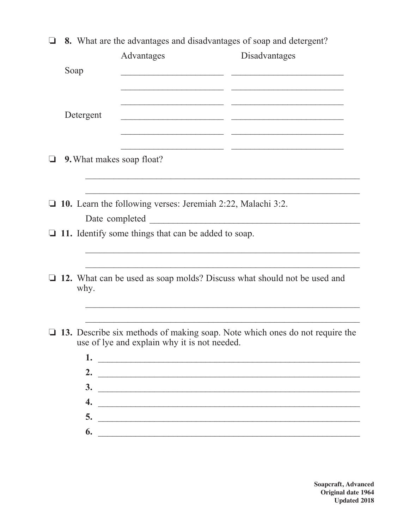|                                                             | 8. What are the advantages and disadvantages of soap and detergent? |                                                            |                                                                             |  |
|-------------------------------------------------------------|---------------------------------------------------------------------|------------------------------------------------------------|-----------------------------------------------------------------------------|--|
|                                                             |                                                                     | Advantages                                                 | Disadvantages                                                               |  |
|                                                             | Soap                                                                |                                                            |                                                                             |  |
|                                                             |                                                                     |                                                            |                                                                             |  |
|                                                             |                                                                     |                                                            |                                                                             |  |
|                                                             | Detergent                                                           |                                                            |                                                                             |  |
|                                                             |                                                                     |                                                            |                                                                             |  |
| ⊔                                                           | 9. What makes soap float?                                           |                                                            |                                                                             |  |
|                                                             |                                                                     |                                                            |                                                                             |  |
|                                                             |                                                                     |                                                            |                                                                             |  |
| 10. Learn the following verses: Jeremiah 2:22, Malachi 3:2. |                                                                     |                                                            |                                                                             |  |
|                                                             |                                                                     | Date completed                                             |                                                                             |  |
|                                                             |                                                                     | $\Box$ 11. Identify some things that can be added to soap. |                                                                             |  |
|                                                             |                                                                     |                                                            |                                                                             |  |
|                                                             |                                                                     |                                                            |                                                                             |  |
|                                                             | why.                                                                |                                                            | 12. What can be used as soap molds? Discuss what should not be used and     |  |
|                                                             |                                                                     |                                                            |                                                                             |  |
|                                                             |                                                                     |                                                            |                                                                             |  |
|                                                             |                                                                     | use of lye and explain why it is not needed.               | 13. Describe six methods of making soap. Note which ones do not require the |  |
|                                                             |                                                                     |                                                            |                                                                             |  |
|                                                             |                                                                     |                                                            |                                                                             |  |
|                                                             |                                                                     | 1.                                                         |                                                                             |  |
|                                                             |                                                                     | 2. $\qquad \qquad$                                         |                                                                             |  |
|                                                             | 4.                                                                  |                                                            | $\frac{3}{2}$                                                               |  |
|                                                             | 5.                                                                  |                                                            | <u> 2008 - Johann John Stein, markin am deutscher Stein († 2008)</u>        |  |